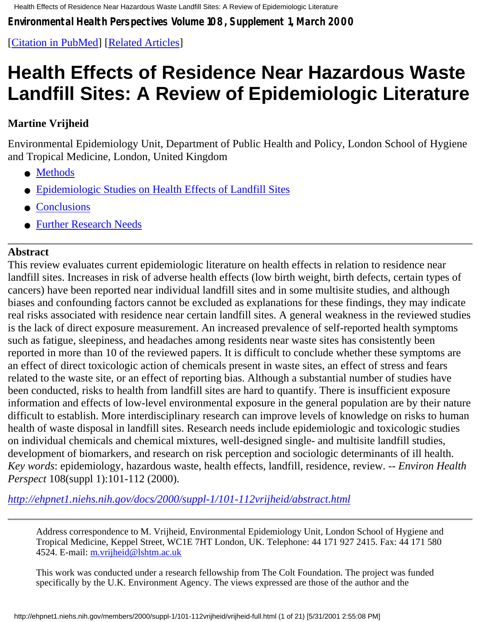**Environmental Health Perspectives Volume 108, Supplement 1, March 2000**

[[Citation in PubMed](http://ehpnet1.niehs.nih.gov/cgi-bin/pubmed.pl?linktype=citation&pmid=10698726)] [[Related Articles\]](http://ehpnet1.niehs.nih.gov/cgi-bin/pubmed.pl?linktype=related&pmid=10698726)

# **Health Effects of Residence Near Hazardous Waste Landfill Sites: A Review of Epidemiologic Literature**

#### **Martine Vrijheid**

Environmental Epidemiology Unit, Department of Public Health and Policy, London School of Hygiene and Tropical Medicine, London, United Kingdom

- [Methods](#page-1-0)
- [Epidemiologic Studies on Health Effects of Landfill Sites](#page-1-1)
- [Conclusions](#page-12-0)
- [Further Research Needs](#page-14-0)

#### **Abstract**

This review evaluates current epidemiologic literature on health effects in relation to residence near landfill sites. Increases in risk of adverse health effects (low birth weight, birth defects, certain types of cancers) have been reported near individual landfill sites and in some multisite studies, and although biases and confounding factors cannot be excluded as explanations for these findings, they may indicate real risks associated with residence near certain landfill sites. A general weakness in the reviewed studies is the lack of direct exposure measurement. An increased prevalence of self-reported health symptoms such as fatigue, sleepiness, and headaches among residents near waste sites has consistently been reported in more than 10 of the reviewed papers. It is difficult to conclude whether these symptoms are an effect of direct toxicologic action of chemicals present in waste sites, an effect of stress and fears related to the waste site, or an effect of reporting bias. Although a substantial number of studies have been conducted, risks to health from landfill sites are hard to quantify. There is insufficient exposure information and effects of low-level environmental exposure in the general population are by their nature difficult to establish. More interdisciplinary research can improve levels of knowledge on risks to human health of waste disposal in landfill sites. Research needs include epidemiologic and toxicologic studies on individual chemicals and chemical mixtures, well-designed single- and multisite landfill studies, development of biomarkers, and research on risk perception and sociologic determinants of ill health. *Key words*: epidemiology, hazardous waste, health effects, landfill, residence, review. -- *Environ Health Perspect* 108(suppl 1):101-112 (2000).

*<http://ehpnet1.niehs.nih.gov/docs/2000/suppl-1/101-112vrijheid/abstract.html>*

Address correspondence to M. Vrijheid, Environmental Epidemiology Unit, London School of Hygiene and Tropical Medicine, Keppel Street, WC1E 7HT London, UK. Telephone: 44 171 927 2415. Fax: 44 171 580 4524. E-mail: [m.vrijheid@lshtm.ac.uk](mailto:m.vrijheid@lshtm.ac.uk)

This work was conducted under a research fellowship from The Colt Foundation. The project was funded specifically by the U.K. Environment Agency. The views expressed are those of the author and the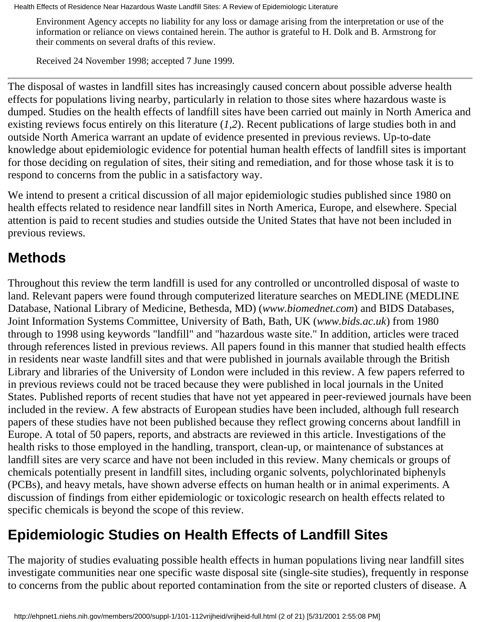Environment Agency accepts no liability for any loss or damage arising from the interpretation or use of the information or reliance on views contained herein. The author is grateful to H. Dolk and B. Armstrong for their comments on several drafts of this review.

Received 24 November 1998; accepted 7 June 1999.

The disposal of wastes in landfill sites has increasingly caused concern about possible adverse health effects for populations living nearby, particularly in relation to those sites where hazardous waste is dumped. Studies on the health effects of landfill sites have been carried out mainly in North America and existing reviews focus entirely on this literature (*1,2*). Recent publications of large studies both in and outside North America warrant an update of evidence presented in previous reviews. Up-to-date knowledge about epidemiologic evidence for potential human health effects of landfill sites is important for those deciding on regulation of sites, their siting and remediation, and for those whose task it is to respond to concerns from the public in a satisfactory way.

We intend to present a critical discussion of all major epidemiologic studies published since 1980 on health effects related to residence near landfill sites in North America, Europe, and elsewhere. Special attention is paid to recent studies and studies outside the United States that have not been included in previous reviews.

# <span id="page-1-0"></span>**Methods**

Throughout this review the term landfill is used for any controlled or uncontrolled disposal of waste to land. Relevant papers were found through computerized literature searches on MEDLINE (MEDLINE Database, National Library of Medicine, Bethesda, MD) (*www.biomednet.com*) and BIDS Databases, Joint Information Systems Committee, University of Bath, Bath, UK (*www.bids.ac.uk*) from 1980 through to 1998 using keywords "landfill" and "hazardous waste site." In addition, articles were traced through references listed in previous reviews. All papers found in this manner that studied health effects in residents near waste landfill sites and that were published in journals available through the British Library and libraries of the University of London were included in this review. A few papers referred to in previous reviews could not be traced because they were published in local journals in the United States. Published reports of recent studies that have not yet appeared in peer-reviewed journals have been included in the review. A few abstracts of European studies have been included, although full research papers of these studies have not been published because they reflect growing concerns about landfill in Europe. A total of 50 papers, reports, and abstracts are reviewed in this article. Investigations of the health risks to those employed in the handling, transport, clean-up, or maintenance of substances at landfill sites are very scarce and have not been included in this review. Many chemicals or groups of chemicals potentially present in landfill sites, including organic solvents, polychlorinated biphenyls (PCBs), and heavy metals, have shown adverse effects on human health or in animal experiments. A discussion of findings from either epidemiologic or toxicologic research on health effects related to specific chemicals is beyond the scope of this review.

# <span id="page-1-1"></span>**Epidemiologic Studies on Health Effects of Landfill Sites**

The majority of studies evaluating possible health effects in human populations living near landfill sites investigate communities near one specific waste disposal site (single-site studies), frequently in response to concerns from the public about reported contamination from the site or reported clusters of disease. A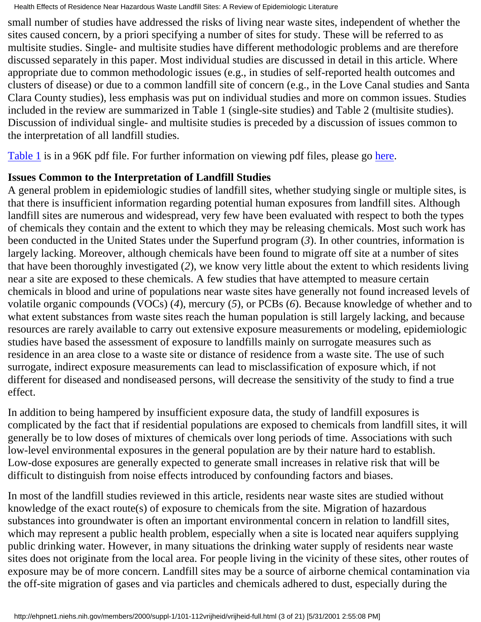small number of studies have addressed the risks of living near waste sites, independent of whether the sites caused concern, by a priori specifying a number of sites for study. These will be referred to as multisite studies. Single- and multisite studies have different methodologic problems and are therefore discussed separately in this paper. Most individual studies are discussed in detail in this article. Where appropriate due to common methodologic issues (e.g., in studies of self-reported health outcomes and clusters of disease) or due to a common landfill site of concern (e.g., in the Love Canal studies and Santa Clara County studies), less emphasis was put on individual studies and more on common issues. Studies included in the review are summarized in Table 1 (single-site studies) and Table 2 (multisite studies). Discussion of individual single- and multisite studies is preceded by a discussion of issues common to the interpretation of all landfill studies.

[Table 1](http://ehpnet1.niehs.nih.gov/members/2000/suppl-1/101-112vrijheid/vrijheidtab.pdf) is in a 96K pdf file. For further information on viewing pdf files, please go [here.](http://ehis.niehs.nih.gov/docs/admin/viewers.html#pdf)

#### **Issues Common to the Interpretation of Landfill Studies**

A general problem in epidemiologic studies of landfill sites, whether studying single or multiple sites, is that there is insufficient information regarding potential human exposures from landfill sites. Although landfill sites are numerous and widespread, very few have been evaluated with respect to both the types of chemicals they contain and the extent to which they may be releasing chemicals. Most such work has been conducted in the United States under the Superfund program (*3*). In other countries, information is largely lacking. Moreover, although chemicals have been found to migrate off site at a number of sites that have been thoroughly investigated (*2*), we know very little about the extent to which residents living near a site are exposed to these chemicals. A few studies that have attempted to measure certain chemicals in blood and urine of populations near waste sites have generally not found increased levels of volatile organic compounds (VOCs) (*4*), mercury (*5*), or PCBs (*6*). Because knowledge of whether and to what extent substances from waste sites reach the human population is still largely lacking, and because resources are rarely available to carry out extensive exposure measurements or modeling, epidemiologic studies have based the assessment of exposure to landfills mainly on surrogate measures such as residence in an area close to a waste site or distance of residence from a waste site. The use of such surrogate, indirect exposure measurements can lead to misclassification of exposure which, if not different for diseased and nondiseased persons, will decrease the sensitivity of the study to find a true effect.

In addition to being hampered by insufficient exposure data, the study of landfill exposures is complicated by the fact that if residential populations are exposed to chemicals from landfill sites, it will generally be to low doses of mixtures of chemicals over long periods of time. Associations with such low-level environmental exposures in the general population are by their nature hard to establish. Low-dose exposures are generally expected to generate small increases in relative risk that will be difficult to distinguish from noise effects introduced by confounding factors and biases.

In most of the landfill studies reviewed in this article, residents near waste sites are studied without knowledge of the exact route(s) of exposure to chemicals from the site. Migration of hazardous substances into groundwater is often an important environmental concern in relation to landfill sites, which may represent a public health problem, especially when a site is located near aquifers supplying public drinking water. However, in many situations the drinking water supply of residents near waste sites does not originate from the local area. For people living in the vicinity of these sites, other routes of exposure may be of more concern. Landfill sites may be a source of airborne chemical contamination via the off-site migration of gases and via particles and chemicals adhered to dust, especially during the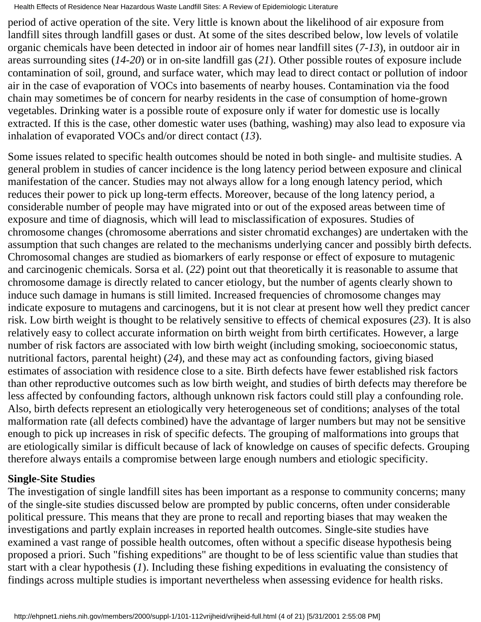period of active operation of the site. Very little is known about the likelihood of air exposure from landfill sites through landfill gases or dust. At some of the sites described below, low levels of volatile organic chemicals have been detected in indoor air of homes near landfill sites (*7*-*13*), in outdoor air in areas surrounding sites (*14*-*20*) or in on-site landfill gas (*21*). Other possible routes of exposure include contamination of soil, ground, and surface water, which may lead to direct contact or pollution of indoor air in the case of evaporation of VOCs into basements of nearby houses. Contamination via the food chain may sometimes be of concern for nearby residents in the case of consumption of home-grown vegetables. Drinking water is a possible route of exposure only if water for domestic use is locally extracted. If this is the case, other domestic water uses (bathing, washing) may also lead to exposure via inhalation of evaporated VOCs and/or direct contact (*13*).

Some issues related to specific health outcomes should be noted in both single- and multisite studies. A general problem in studies of cancer incidence is the long latency period between exposure and clinical manifestation of the cancer. Studies may not always allow for a long enough latency period, which reduces their power to pick up long-term effects. Moreover, because of the long latency period, a considerable number of people may have migrated into or out of the exposed areas between time of exposure and time of diagnosis, which will lead to misclassification of exposures. Studies of chromosome changes (chromosome aberrations and sister chromatid exchanges) are undertaken with the assumption that such changes are related to the mechanisms underlying cancer and possibly birth defects. Chromosomal changes are studied as biomarkers of early response or effect of exposure to mutagenic and carcinogenic chemicals. Sorsa et al. (*22*) point out that theoretically it is reasonable to assume that chromosome damage is directly related to cancer etiology, but the number of agents clearly shown to induce such damage in humans is still limited. Increased frequencies of chromosome changes may indicate exposure to mutagens and carcinogens, but it is not clear at present how well they predict cancer risk. Low birth weight is thought to be relatively sensitive to effects of chemical exposures (*23*). It is also relatively easy to collect accurate information on birth weight from birth certificates. However, a large number of risk factors are associated with low birth weight (including smoking, socioeconomic status, nutritional factors, parental height) (*24*), and these may act as confounding factors, giving biased estimates of association with residence close to a site. Birth defects have fewer established risk factors than other reproductive outcomes such as low birth weight, and studies of birth defects may therefore be less affected by confounding factors, although unknown risk factors could still play a confounding role. Also, birth defects represent an etiologically very heterogeneous set of conditions; analyses of the total malformation rate (all defects combined) have the advantage of larger numbers but may not be sensitive enough to pick up increases in risk of specific defects. The grouping of malformations into groups that are etiologically similar is difficult because of lack of knowledge on causes of specific defects. Grouping therefore always entails a compromise between large enough numbers and etiologic specificity.

#### **Single-Site Studies**

The investigation of single landfill sites has been important as a response to community concerns; many of the single-site studies discussed below are prompted by public concerns, often under considerable political pressure. This means that they are prone to recall and reporting biases that may weaken the investigations and partly explain increases in reported health outcomes. Single-site studies have examined a vast range of possible health outcomes, often without a specific disease hypothesis being proposed a priori. Such "fishing expeditions" are thought to be of less scientific value than studies that start with a clear hypothesis (*1*). Including these fishing expeditions in evaluating the consistency of findings across multiple studies is important nevertheless when assessing evidence for health risks.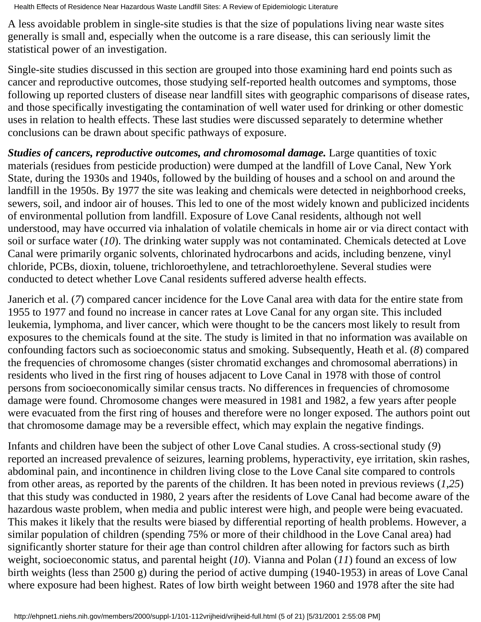A less avoidable problem in single-site studies is that the size of populations living near waste sites generally is small and, especially when the outcome is a rare disease, this can seriously limit the statistical power of an investigation.

Single-site studies discussed in this section are grouped into those examining hard end points such as cancer and reproductive outcomes, those studying self-reported health outcomes and symptoms, those following up reported clusters of disease near landfill sites with geographic comparisons of disease rates, and those specifically investigating the contamination of well water used for drinking or other domestic uses in relation to health effects. These last studies were discussed separately to determine whether conclusions can be drawn about specific pathways of exposure.

*Studies of cancers, reproductive outcomes, and chromosomal damage.* Large quantities of toxic materials (residues from pesticide production) were dumped at the landfill of Love Canal, New York State, during the 1930s and 1940s, followed by the building of houses and a school on and around the landfill in the 1950s. By 1977 the site was leaking and chemicals were detected in neighborhood creeks, sewers, soil, and indoor air of houses. This led to one of the most widely known and publicized incidents of environmental pollution from landfill. Exposure of Love Canal residents, although not well understood, may have occurred via inhalation of volatile chemicals in home air or via direct contact with soil or surface water (*10*). The drinking water supply was not contaminated. Chemicals detected at Love Canal were primarily organic solvents, chlorinated hydrocarbons and acids, including benzene, vinyl chloride, PCBs, dioxin, toluene, trichloroethylene, and tetrachloroethylene. Several studies were conducted to detect whether Love Canal residents suffered adverse health effects.

Janerich et al. (*7*) compared cancer incidence for the Love Canal area with data for the entire state from 1955 to 1977 and found no increase in cancer rates at Love Canal for any organ site. This included leukemia, lymphoma, and liver cancer, which were thought to be the cancers most likely to result from exposures to the chemicals found at the site. The study is limited in that no information was available on confounding factors such as socioeconomic status and smoking. Subsequently, Heath et al. (*8*) compared the frequencies of chromosome changes (sister chromatid exchanges and chromosomal aberrations) in residents who lived in the first ring of houses adjacent to Love Canal in 1978 with those of control persons from socioeconomically similar census tracts. No differences in frequencies of chromosome damage were found. Chromosome changes were measured in 1981 and 1982, a few years after people were evacuated from the first ring of houses and therefore were no longer exposed. The authors point out that chromosome damage may be a reversible effect, which may explain the negative findings.

Infants and children have been the subject of other Love Canal studies. A cross-sectional study (*9*) reported an increased prevalence of seizures, learning problems, hyperactivity, eye irritation, skin rashes, abdominal pain, and incontinence in children living close to the Love Canal site compared to controls from other areas, as reported by the parents of the children. It has been noted in previous reviews (*1*,*25*) that this study was conducted in 1980, 2 years after the residents of Love Canal had become aware of the hazardous waste problem, when media and public interest were high, and people were being evacuated. This makes it likely that the results were biased by differential reporting of health problems. However, a similar population of children (spending 75% or more of their childhood in the Love Canal area) had significantly shorter stature for their age than control children after allowing for factors such as birth weight, socioeconomic status, and parental height (*10*). Vianna and Polan (*11*) found an excess of low birth weights (less than 2500 g) during the period of active dumping (1940-1953) in areas of Love Canal where exposure had been highest. Rates of low birth weight between 1960 and 1978 after the site had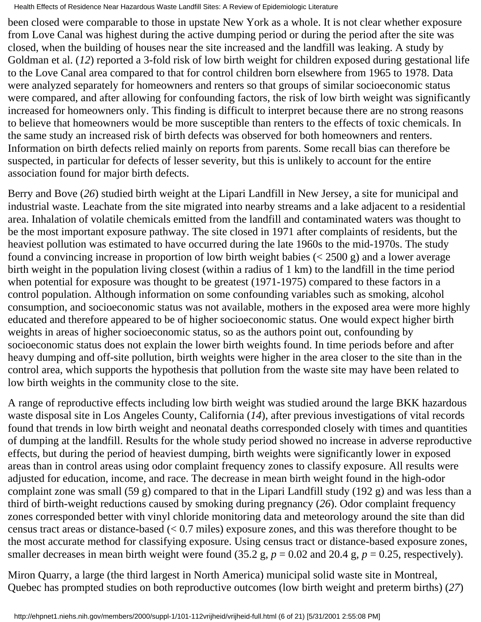been closed were comparable to those in upstate New York as a whole. It is not clear whether exposure from Love Canal was highest during the active dumping period or during the period after the site was closed, when the building of houses near the site increased and the landfill was leaking. A study by Goldman et al. (*12*) reported a 3-fold risk of low birth weight for children exposed during gestational life to the Love Canal area compared to that for control children born elsewhere from 1965 to 1978. Data were analyzed separately for homeowners and renters so that groups of similar socioeconomic status were compared, and after allowing for confounding factors, the risk of low birth weight was significantly increased for homeowners only. This finding is difficult to interpret because there are no strong reasons to believe that homeowners would be more susceptible than renters to the effects of toxic chemicals. In the same study an increased risk of birth defects was observed for both homeowners and renters. Information on birth defects relied mainly on reports from parents. Some recall bias can therefore be suspected, in particular for defects of lesser severity, but this is unlikely to account for the entire association found for major birth defects.

Berry and Bove (*26*) studied birth weight at the Lipari Landfill in New Jersey, a site for municipal and industrial waste. Leachate from the site migrated into nearby streams and a lake adjacent to a residential area. Inhalation of volatile chemicals emitted from the landfill and contaminated waters was thought to be the most important exposure pathway. The site closed in 1971 after complaints of residents, but the heaviest pollution was estimated to have occurred during the late 1960s to the mid-1970s. The study found a convincing increase in proportion of low birth weight babies (< 2500 g) and a lower average birth weight in the population living closest (within a radius of 1 km) to the landfill in the time period when potential for exposure was thought to be greatest (1971-1975) compared to these factors in a control population. Although information on some confounding variables such as smoking, alcohol consumption, and socioeconomic status was not available, mothers in the exposed area were more highly educated and therefore appeared to be of higher socioeconomic status. One would expect higher birth weights in areas of higher socioeconomic status, so as the authors point out, confounding by socioeconomic status does not explain the lower birth weights found. In time periods before and after heavy dumping and off-site pollution, birth weights were higher in the area closer to the site than in the control area, which supports the hypothesis that pollution from the waste site may have been related to low birth weights in the community close to the site.

A range of reproductive effects including low birth weight was studied around the large BKK hazardous waste disposal site in Los Angeles County, California (*14*), after previous investigations of vital records found that trends in low birth weight and neonatal deaths corresponded closely with times and quantities of dumping at the landfill. Results for the whole study period showed no increase in adverse reproductive effects, but during the period of heaviest dumping, birth weights were significantly lower in exposed areas than in control areas using odor complaint frequency zones to classify exposure. All results were adjusted for education, income, and race. The decrease in mean birth weight found in the high-odor complaint zone was small (59 g) compared to that in the Lipari Landfill study (192 g) and was less than a third of birth-weight reductions caused by smoking during pregnancy (*26*). Odor complaint frequency zones corresponded better with vinyl chloride monitoring data and meteorology around the site than did census tract areas or distance-based (< 0.7 miles) exposure zones, and this was therefore thought to be the most accurate method for classifying exposure. Using census tract or distance-based exposure zones, smaller decreases in mean birth weight were found (35.2 g, *p* = 0.02 and 20.4 g, *p* = 0.25, respectively).

Miron Quarry, a large (the third largest in North America) municipal solid waste site in Montreal, Quebec has prompted studies on both reproductive outcomes (low birth weight and preterm births) (*27*)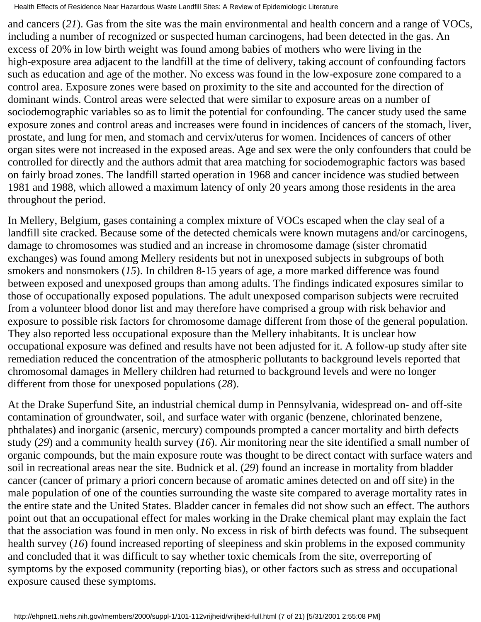and cancers (*21*). Gas from the site was the main environmental and health concern and a range of VOCs, including a number of recognized or suspected human carcinogens, had been detected in the gas. An excess of 20% in low birth weight was found among babies of mothers who were living in the high-exposure area adjacent to the landfill at the time of delivery, taking account of confounding factors such as education and age of the mother. No excess was found in the low-exposure zone compared to a control area. Exposure zones were based on proximity to the site and accounted for the direction of dominant winds. Control areas were selected that were similar to exposure areas on a number of sociodemographic variables so as to limit the potential for confounding. The cancer study used the same exposure zones and control areas and increases were found in incidences of cancers of the stomach, liver, prostate, and lung for men, and stomach and cervix/uterus for women. Incidences of cancers of other organ sites were not increased in the exposed areas. Age and sex were the only confounders that could be controlled for directly and the authors admit that area matching for sociodemographic factors was based on fairly broad zones. The landfill started operation in 1968 and cancer incidence was studied between 1981 and 1988, which allowed a maximum latency of only 20 years among those residents in the area throughout the period.

In Mellery, Belgium, gases containing a complex mixture of VOCs escaped when the clay seal of a landfill site cracked. Because some of the detected chemicals were known mutagens and/or carcinogens, damage to chromosomes was studied and an increase in chromosome damage (sister chromatid exchanges) was found among Mellery residents but not in unexposed subjects in subgroups of both smokers and nonsmokers (*15*). In children 8-15 years of age, a more marked difference was found between exposed and unexposed groups than among adults. The findings indicated exposures similar to those of occupationally exposed populations. The adult unexposed comparison subjects were recruited from a volunteer blood donor list and may therefore have comprised a group with risk behavior and exposure to possible risk factors for chromosome damage different from those of the general population. They also reported less occupational exposure than the Mellery inhabitants. It is unclear how occupational exposure was defined and results have not been adjusted for it. A follow-up study after site remediation reduced the concentration of the atmospheric pollutants to background levels reported that chromosomal damages in Mellery children had returned to background levels and were no longer different from those for unexposed populations (*28*).

At the Drake Superfund Site, an industrial chemical dump in Pennsylvania, widespread on- and off-site contamination of groundwater, soil, and surface water with organic (benzene, chlorinated benzene, phthalates) and inorganic (arsenic, mercury) compounds prompted a cancer mortality and birth defects study (*29*) and a community health survey (*16*). Air monitoring near the site identified a small number of organic compounds, but the main exposure route was thought to be direct contact with surface waters and soil in recreational areas near the site. Budnick et al. (*29*) found an increase in mortality from bladder cancer (cancer of primary a priori concern because of aromatic amines detected on and off site) in the male population of one of the counties surrounding the waste site compared to average mortality rates in the entire state and the United States. Bladder cancer in females did not show such an effect. The authors point out that an occupational effect for males working in the Drake chemical plant may explain the fact that the association was found in men only. No excess in risk of birth defects was found. The subsequent health survey (*16*) found increased reporting of sleepiness and skin problems in the exposed community and concluded that it was difficult to say whether toxic chemicals from the site, overreporting of symptoms by the exposed community (reporting bias), or other factors such as stress and occupational exposure caused these symptoms.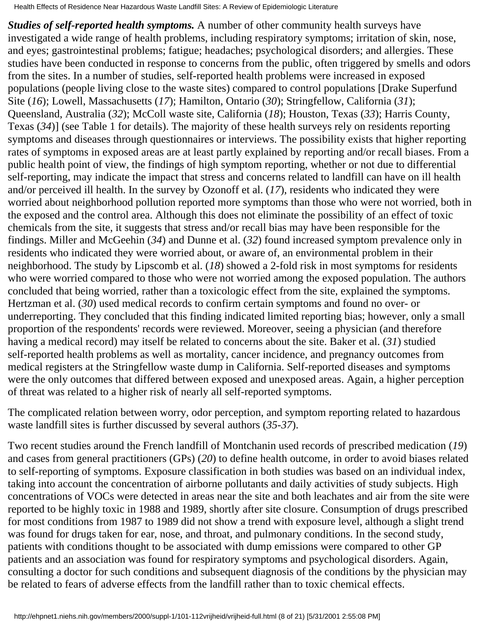*Studies of self-reported health symptoms.* A number of other community health surveys have investigated a wide range of health problems, including respiratory symptoms; irritation of skin, nose, and eyes; gastrointestinal problems; fatigue; headaches; psychological disorders; and allergies. These studies have been conducted in response to concerns from the public, often triggered by smells and odors from the sites. In a number of studies, self-reported health problems were increased in exposed populations (people living close to the waste sites) compared to control populations [Drake Superfund Site (*16*); Lowell, Massachusetts (*17*); Hamilton, Ontario (*30*); Stringfellow, California (*31*); Queensland, Australia (*32*); McColl waste site, California (*18*); Houston, Texas (*33*); Harris County, Texas (*34*)] (see Table 1 for details). The majority of these health surveys rely on residents reporting symptoms and diseases through questionnaires or interviews. The possibility exists that higher reporting rates of symptoms in exposed areas are at least partly explained by reporting and/or recall biases. From a public health point of view, the findings of high symptom reporting, whether or not due to differential self-reporting, may indicate the impact that stress and concerns related to landfill can have on ill health and/or perceived ill health. In the survey by Ozonoff et al. (*17*), residents who indicated they were worried about neighborhood pollution reported more symptoms than those who were not worried, both in the exposed and the control area. Although this does not eliminate the possibility of an effect of toxic chemicals from the site, it suggests that stress and/or recall bias may have been responsible for the findings. Miller and McGeehin (*34*) and Dunne et al. (*32*) found increased symptom prevalence only in residents who indicated they were worried about, or aware of, an environmental problem in their neighborhood. The study by Lipscomb et al. (*18*) showed a 2-fold risk in most symptoms for residents who were worried compared to those who were not worried among the exposed population. The authors concluded that being worried, rather than a toxicologic effect from the site, explained the symptoms. Hertzman et al. (*30*) used medical records to confirm certain symptoms and found no over- or underreporting. They concluded that this finding indicated limited reporting bias; however, only a small proportion of the respondents' records were reviewed. Moreover, seeing a physician (and therefore having a medical record) may itself be related to concerns about the site. Baker et al. (*31*) studied self-reported health problems as well as mortality, cancer incidence, and pregnancy outcomes from medical registers at the Stringfellow waste dump in California. Self-reported diseases and symptoms were the only outcomes that differed between exposed and unexposed areas. Again, a higher perception of threat was related to a higher risk of nearly all self-reported symptoms.

The complicated relation between worry, odor perception, and symptom reporting related to hazardous waste landfill sites is further discussed by several authors (*35*-*37*).

Two recent studies around the French landfill of Montchanin used records of prescribed medication (*19*) and cases from general practitioners (GPs) (*20*) to define health outcome, in order to avoid biases related to self-reporting of symptoms. Exposure classification in both studies was based on an individual index, taking into account the concentration of airborne pollutants and daily activities of study subjects. High concentrations of VOCs were detected in areas near the site and both leachates and air from the site were reported to be highly toxic in 1988 and 1989, shortly after site closure. Consumption of drugs prescribed for most conditions from 1987 to 1989 did not show a trend with exposure level, although a slight trend was found for drugs taken for ear, nose, and throat, and pulmonary conditions. In the second study, patients with conditions thought to be associated with dump emissions were compared to other GP patients and an association was found for respiratory symptoms and psychological disorders. Again, consulting a doctor for such conditions and subsequent diagnosis of the conditions by the physician may be related to fears of adverse effects from the landfill rather than to toxic chemical effects.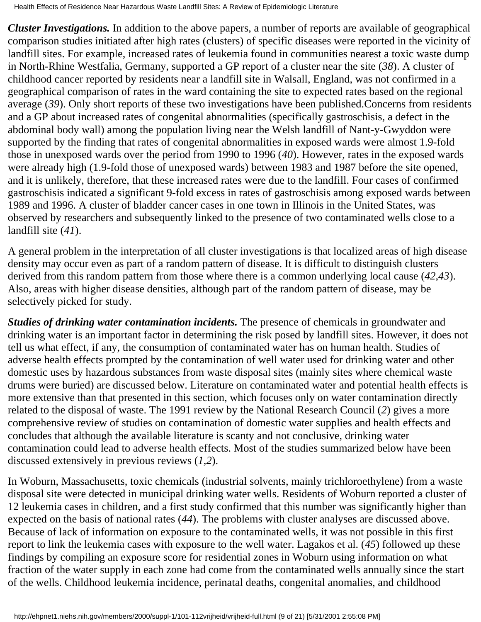*Cluster Investigations.* In addition to the above papers, a number of reports are available of geographical comparison studies initiated after high rates (clusters) of specific diseases were reported in the vicinity of landfill sites. For example, increased rates of leukemia found in communities nearest a toxic waste dump in North-Rhine Westfalia, Germany, supported a GP report of a cluster near the site (*38*). A cluster of childhood cancer reported by residents near a landfill site in Walsall, England, was not confirmed in a geographical comparison of rates in the ward containing the site to expected rates based on the regional average (*39*). Only short reports of these two investigations have been published.Concerns from residents and a GP about increased rates of congenital abnormalities (specifically gastroschisis, a defect in the abdominal body wall) among the population living near the Welsh landfill of Nant-y-Gwyddon were supported by the finding that rates of congenital abnormalities in exposed wards were almost 1.9-fold those in unexposed wards over the period from 1990 to 1996 (*40*). However, rates in the exposed wards were already high (1.9-fold those of unexposed wards) between 1983 and 1987 before the site opened, and it is unlikely, therefore, that these increased rates were due to the landfill. Four cases of confirmed gastroschisis indicated a significant 9-fold excess in rates of gastroschisis among exposed wards between 1989 and 1996. A cluster of bladder cancer cases in one town in Illinois in the United States, was observed by researchers and subsequently linked to the presence of two contaminated wells close to a landfill site (*41*).

A general problem in the interpretation of all cluster investigations is that localized areas of high disease density may occur even as part of a random pattern of disease. It is difficult to distinguish clusters derived from this random pattern from those where there is a common underlying local cause (*42*,*43*). Also, areas with higher disease densities, although part of the random pattern of disease, may be selectively picked for study.

*Studies of drinking water contamination incidents.* The presence of chemicals in groundwater and drinking water is an important factor in determining the risk posed by landfill sites. However, it does not tell us what effect, if any, the consumption of contaminated water has on human health. Studies of adverse health effects prompted by the contamination of well water used for drinking water and other domestic uses by hazardous substances from waste disposal sites (mainly sites where chemical waste drums were buried) are discussed below. Literature on contaminated water and potential health effects is more extensive than that presented in this section, which focuses only on water contamination directly related to the disposal of waste. The 1991 review by the National Research Council (*2*) gives a more comprehensive review of studies on contamination of domestic water supplies and health effects and concludes that although the available literature is scanty and not conclusive, drinking water contamination could lead to adverse health effects. Most of the studies summarized below have been discussed extensively in previous reviews (*1*,*2*).

In Woburn, Massachusetts, toxic chemicals (industrial solvents, mainly trichloroethylene) from a waste disposal site were detected in municipal drinking water wells. Residents of Woburn reported a cluster of 12 leukemia cases in children, and a first study confirmed that this number was significantly higher than expected on the basis of national rates (*44*). The problems with cluster analyses are discussed above. Because of lack of information on exposure to the contaminated wells, it was not possible in this first report to link the leukemia cases with exposure to the well water. Lagakos et al. (*45*) followed up these findings by compiling an exposure score for residential zones in Woburn using information on what fraction of the water supply in each zone had come from the contaminated wells annually since the start of the wells. Childhood leukemia incidence, perinatal deaths, congenital anomalies, and childhood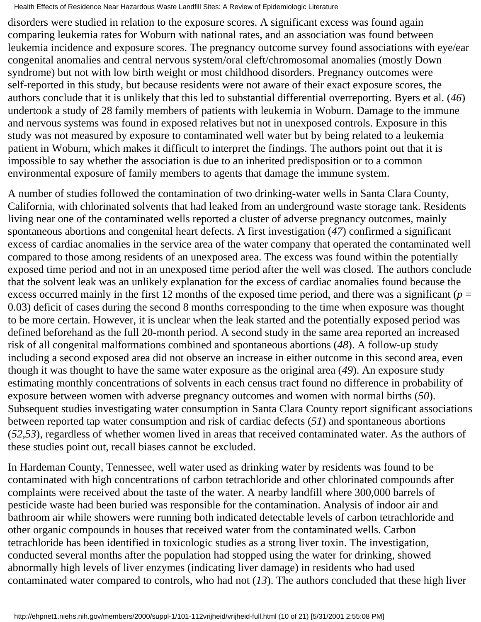disorders were studied in relation to the exposure scores. A significant excess was found again comparing leukemia rates for Woburn with national rates, and an association was found between leukemia incidence and exposure scores. The pregnancy outcome survey found associations with eye/ear congenital anomalies and central nervous system/oral cleft/chromosomal anomalies (mostly Down syndrome) but not with low birth weight or most childhood disorders. Pregnancy outcomes were self-reported in this study, but because residents were not aware of their exact exposure scores, the authors conclude that it is unlikely that this led to substantial differential overreporting. Byers et al. (*46*) undertook a study of 28 family members of patients with leukemia in Woburn. Damage to the immune and nervous systems was found in exposed relatives but not in unexposed controls. Exposure in this study was not measured by exposure to contaminated well water but by being related to a leukemia patient in Woburn, which makes it difficult to interpret the findings. The authors point out that it is impossible to say whether the association is due to an inherited predisposition or to a common environmental exposure of family members to agents that damage the immune system.

A number of studies followed the contamination of two drinking-water wells in Santa Clara County, California, with chlorinated solvents that had leaked from an underground waste storage tank. Residents living near one of the contaminated wells reported a cluster of adverse pregnancy outcomes, mainly spontaneous abortions and congenital heart defects. A first investigation (*47*) confirmed a significant excess of cardiac anomalies in the service area of the water company that operated the contaminated well compared to those among residents of an unexposed area. The excess was found within the potentially exposed time period and not in an unexposed time period after the well was closed. The authors conclude that the solvent leak was an unlikely explanation for the excess of cardiac anomalies found because the excess occurred mainly in the first 12 months of the exposed time period, and there was a significant (*p* = 0.03) deficit of cases during the second 8 months corresponding to the time when exposure was thought to be more certain. However, it is unclear when the leak started and the potentially exposed period was defined beforehand as the full 20-month period. A second study in the same area reported an increased risk of all congenital malformations combined and spontaneous abortions (*48*). A follow-up study including a second exposed area did not observe an increase in either outcome in this second area, even though it was thought to have the same water exposure as the original area (*49*). An exposure study estimating monthly concentrations of solvents in each census tract found no difference in probability of exposure between women with adverse pregnancy outcomes and women with normal births (*50*). Subsequent studies investigating water consumption in Santa Clara County report significant associations between reported tap water consumption and risk of cardiac defects (*51*) and spontaneous abortions (*52*,*53*), regardless of whether women lived in areas that received contaminated water. As the authors of these studies point out, recall biases cannot be excluded.

In Hardeman County, Tennessee, well water used as drinking water by residents was found to be contaminated with high concentrations of carbon tetrachloride and other chlorinated compounds after complaints were received about the taste of the water. A nearby landfill where 300,000 barrels of pesticide waste had been buried was responsible for the contamination. Analysis of indoor air and bathroom air while showers were running both indicated detectable levels of carbon tetrachloride and other organic compounds in houses that received water from the contaminated wells. Carbon tetrachloride has been identified in toxicologic studies as a strong liver toxin. The investigation, conducted several months after the population had stopped using the water for drinking, showed abnormally high levels of liver enzymes (indicating liver damage) in residents who had used contaminated water compared to controls, who had not (*13*). The authors concluded that these high liver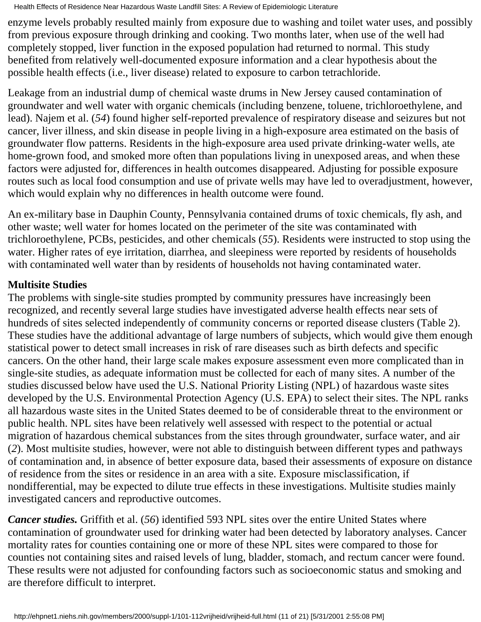enzyme levels probably resulted mainly from exposure due to washing and toilet water uses, and possibly from previous exposure through drinking and cooking. Two months later, when use of the well had completely stopped, liver function in the exposed population had returned to normal. This study benefited from relatively well-documented exposure information and a clear hypothesis about the possible health effects (i.e., liver disease) related to exposure to carbon tetrachloride.

Leakage from an industrial dump of chemical waste drums in New Jersey caused contamination of groundwater and well water with organic chemicals (including benzene, toluene, trichloroethylene, and lead). Najem et al. (*54*) found higher self-reported prevalence of respiratory disease and seizures but not cancer, liver illness, and skin disease in people living in a high-exposure area estimated on the basis of groundwater flow patterns. Residents in the high-exposure area used private drinking-water wells, ate home-grown food, and smoked more often than populations living in unexposed areas, and when these factors were adjusted for, differences in health outcomes disappeared. Adjusting for possible exposure routes such as local food consumption and use of private wells may have led to overadjustment, however, which would explain why no differences in health outcome were found.

An ex-military base in Dauphin County, Pennsylvania contained drums of toxic chemicals, fly ash, and other waste; well water for homes located on the perimeter of the site was contaminated with trichloroethylene, PCBs, pesticides, and other chemicals (*55*). Residents were instructed to stop using the water. Higher rates of eye irritation, diarrhea, and sleepiness were reported by residents of households with contaminated well water than by residents of households not having contaminated water.

#### **Multisite Studies**

The problems with single-site studies prompted by community pressures have increasingly been recognized, and recently several large studies have investigated adverse health effects near sets of hundreds of sites selected independently of community concerns or reported disease clusters (Table 2). These studies have the additional advantage of large numbers of subjects, which would give them enough statistical power to detect small increases in risk of rare diseases such as birth defects and specific cancers. On the other hand, their large scale makes exposure assessment even more complicated than in single-site studies, as adequate information must be collected for each of many sites. A number of the studies discussed below have used the U.S. National Priority Listing (NPL) of hazardous waste sites developed by the U.S. Environmental Protection Agency (U.S. EPA) to select their sites. The NPL ranks all hazardous waste sites in the United States deemed to be of considerable threat to the environment or public health. NPL sites have been relatively well assessed with respect to the potential or actual migration of hazardous chemical substances from the sites through groundwater, surface water, and air (*2*). Most multisite studies, however, were not able to distinguish between different types and pathways of contamination and, in absence of better exposure data, based their assessments of exposure on distance of residence from the sites or residence in an area with a site. Exposure misclassification, if nondifferential, may be expected to dilute true effects in these investigations. Multisite studies mainly investigated cancers and reproductive outcomes.

*Cancer studies.* Griffith et al. (*56*) identified 593 NPL sites over the entire United States where contamination of groundwater used for drinking water had been detected by laboratory analyses. Cancer mortality rates for counties containing one or more of these NPL sites were compared to those for counties not containing sites and raised levels of lung, bladder, stomach, and rectum cancer were found. These results were not adjusted for confounding factors such as socioeconomic status and smoking and are therefore difficult to interpret.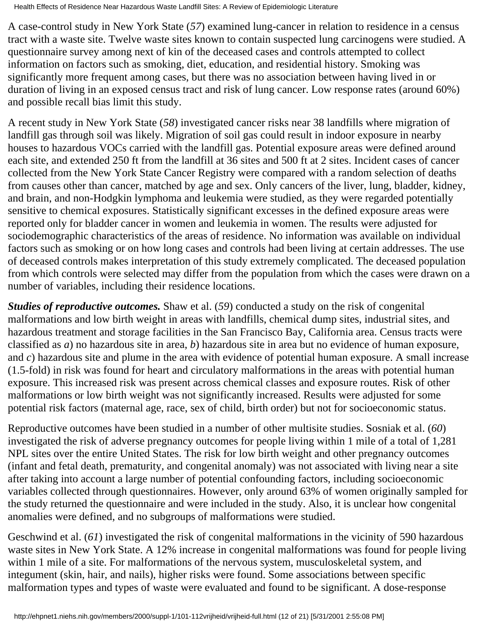A case-control study in New York State (*57*) examined lung-cancer in relation to residence in a census tract with a waste site. Twelve waste sites known to contain suspected lung carcinogens were studied. A questionnaire survey among next of kin of the deceased cases and controls attempted to collect information on factors such as smoking, diet, education, and residential history. Smoking was significantly more frequent among cases, but there was no association between having lived in or duration of living in an exposed census tract and risk of lung cancer. Low response rates (around 60%) and possible recall bias limit this study.

A recent study in New York State (*58*) investigated cancer risks near 38 landfills where migration of landfill gas through soil was likely. Migration of soil gas could result in indoor exposure in nearby houses to hazardous VOCs carried with the landfill gas. Potential exposure areas were defined around each site, and extended 250 ft from the landfill at 36 sites and 500 ft at 2 sites. Incident cases of cancer collected from the New York State Cancer Registry were compared with a random selection of deaths from causes other than cancer, matched by age and sex. Only cancers of the liver, lung, bladder, kidney, and brain, and non-Hodgkin lymphoma and leukemia were studied, as they were regarded potentially sensitive to chemical exposures. Statistically significant excesses in the defined exposure areas were reported only for bladder cancer in women and leukemia in women. The results were adjusted for sociodemographic characteristics of the areas of residence. No information was available on individual factors such as smoking or on how long cases and controls had been living at certain addresses. The use of deceased controls makes interpretation of this study extremely complicated. The deceased population from which controls were selected may differ from the population from which the cases were drawn on a number of variables, including their residence locations.

*Studies of reproductive outcomes.* Shaw et al. (*59*) conducted a study on the risk of congenital malformations and low birth weight in areas with landfills, chemical dump sites, industrial sites, and hazardous treatment and storage facilities in the San Francisco Bay, California area. Census tracts were classified as *a*) no hazardous site in area, *b*) hazardous site in area but no evidence of human exposure, and *c*) hazardous site and plume in the area with evidence of potential human exposure. A small increase (1.5-fold) in risk was found for heart and circulatory malformations in the areas with potential human exposure. This increased risk was present across chemical classes and exposure routes. Risk of other malformations or low birth weight was not significantly increased. Results were adjusted for some potential risk factors (maternal age, race, sex of child, birth order) but not for socioeconomic status.

Reproductive outcomes have been studied in a number of other multisite studies. Sosniak et al. (*60*) investigated the risk of adverse pregnancy outcomes for people living within 1 mile of a total of 1,281 NPL sites over the entire United States. The risk for low birth weight and other pregnancy outcomes (infant and fetal death, prematurity, and congenital anomaly) was not associated with living near a site after taking into account a large number of potential confounding factors, including socioeconomic variables collected through questionnaires. However, only around 63% of women originally sampled for the study returned the questionnaire and were included in the study. Also, it is unclear how congenital anomalies were defined, and no subgroups of malformations were studied.

Geschwind et al. (*61*) investigated the risk of congenital malformations in the vicinity of 590 hazardous waste sites in New York State. A 12% increase in congenital malformations was found for people living within 1 mile of a site. For malformations of the nervous system, musculoskeletal system, and integument (skin, hair, and nails), higher risks were found. Some associations between specific malformation types and types of waste were evaluated and found to be significant. A dose-response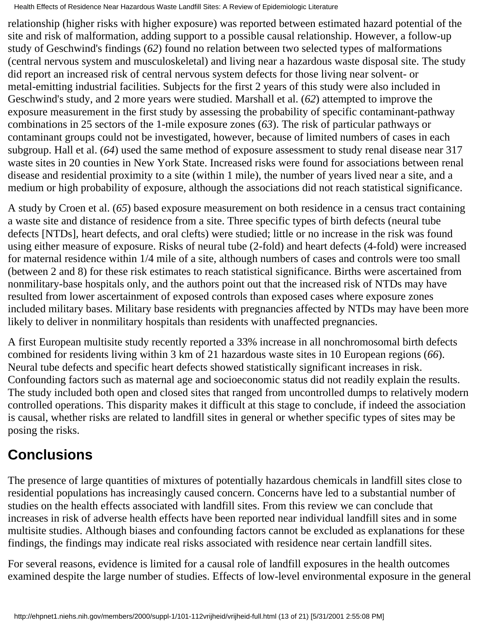relationship (higher risks with higher exposure) was reported between estimated hazard potential of the site and risk of malformation, adding support to a possible causal relationship. However, a follow-up study of Geschwind's findings (*62*) found no relation between two selected types of malformations (central nervous system and musculoskeletal) and living near a hazardous waste disposal site. The study did report an increased risk of central nervous system defects for those living near solvent- or metal-emitting industrial facilities. Subjects for the first 2 years of this study were also included in Geschwind's study, and 2 more years were studied. Marshall et al. (*62*) attempted to improve the exposure measurement in the first study by assessing the probability of specific contaminant-pathway combinations in 25 sectors of the 1-mile exposure zones (*63*). The risk of particular pathways or contaminant groups could not be investigated, however, because of limited numbers of cases in each subgroup. Hall et al. (*64*) used the same method of exposure assessment to study renal disease near 317 waste sites in 20 counties in New York State. Increased risks were found for associations between renal disease and residential proximity to a site (within 1 mile), the number of years lived near a site, and a medium or high probability of exposure, although the associations did not reach statistical significance.

A study by Croen et al. (*65*) based exposure measurement on both residence in a census tract containing a waste site and distance of residence from a site. Three specific types of birth defects (neural tube defects [NTDs], heart defects, and oral clefts) were studied; little or no increase in the risk was found using either measure of exposure. Risks of neural tube (2-fold) and heart defects (4-fold) were increased for maternal residence within 1/4 mile of a site, although numbers of cases and controls were too small (between 2 and 8) for these risk estimates to reach statistical significance. Births were ascertained from nonmilitary-base hospitals only, and the authors point out that the increased risk of NTDs may have resulted from lower ascertainment of exposed controls than exposed cases where exposure zones included military bases. Military base residents with pregnancies affected by NTDs may have been more likely to deliver in nonmilitary hospitals than residents with unaffected pregnancies.

A first European multisite study recently reported a 33% increase in all nonchromosomal birth defects combined for residents living within 3 km of 21 hazardous waste sites in 10 European regions (*66*). Neural tube defects and specific heart defects showed statistically significant increases in risk. Confounding factors such as maternal age and socioeconomic status did not readily explain the results. The study included both open and closed sites that ranged from uncontrolled dumps to relatively modern controlled operations. This disparity makes it difficult at this stage to conclude, if indeed the association is causal, whether risks are related to landfill sites in general or whether specific types of sites may be posing the risks.

# <span id="page-12-0"></span>**Conclusions**

The presence of large quantities of mixtures of potentially hazardous chemicals in landfill sites close to residential populations has increasingly caused concern. Concerns have led to a substantial number of studies on the health effects associated with landfill sites. From this review we can conclude that increases in risk of adverse health effects have been reported near individual landfill sites and in some multisite studies. Although biases and confounding factors cannot be excluded as explanations for these findings, the findings may indicate real risks associated with residence near certain landfill sites.

For several reasons, evidence is limited for a causal role of landfill exposures in the health outcomes examined despite the large number of studies. Effects of low-level environmental exposure in the general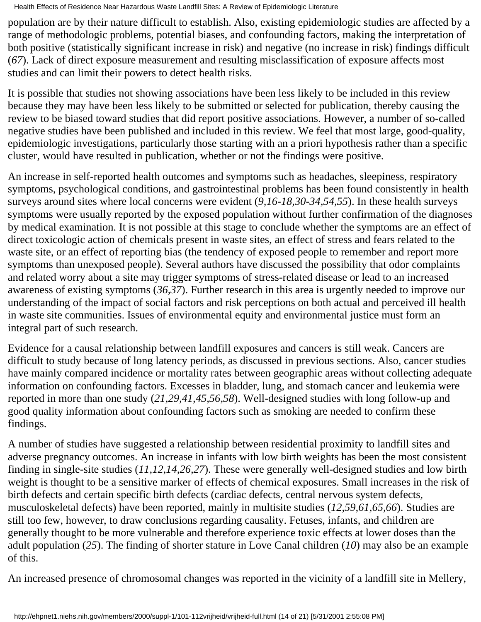population are by their nature difficult to establish. Also, existing epidemiologic studies are affected by a range of methodologic problems, potential biases, and confounding factors, making the interpretation of both positive (statistically significant increase in risk) and negative (no increase in risk) findings difficult (*67*). Lack of direct exposure measurement and resulting misclassification of exposure affects most studies and can limit their powers to detect health risks.

It is possible that studies not showing associations have been less likely to be included in this review because they may have been less likely to be submitted or selected for publication, thereby causing the review to be biased toward studies that did report positive associations. However, a number of so-called negative studies have been published and included in this review. We feel that most large, good-quality, epidemiologic investigations, particularly those starting with an a priori hypothesis rather than a specific cluster, would have resulted in publication, whether or not the findings were positive.

An increase in self-reported health outcomes and symptoms such as headaches, sleepiness, respiratory symptoms, psychological conditions, and gastrointestinal problems has been found consistently in health surveys around sites where local concerns were evident (*9,16-18,30-34,54,55*). In these health surveys symptoms were usually reported by the exposed population without further confirmation of the diagnoses by medical examination. It is not possible at this stage to conclude whether the symptoms are an effect of direct toxicologic action of chemicals present in waste sites, an effect of stress and fears related to the waste site, or an effect of reporting bias (the tendency of exposed people to remember and report more symptoms than unexposed people). Several authors have discussed the possibility that odor complaints and related worry about a site may trigger symptoms of stress-related disease or lead to an increased awareness of existing symptoms (*36,37*). Further research in this area is urgently needed to improve our understanding of the impact of social factors and risk perceptions on both actual and perceived ill health in waste site communities. Issues of environmental equity and environmental justice must form an integral part of such research.

Evidence for a causal relationship between landfill exposures and cancers is still weak. Cancers are difficult to study because of long latency periods, as discussed in previous sections. Also, cancer studies have mainly compared incidence or mortality rates between geographic areas without collecting adequate information on confounding factors. Excesses in bladder, lung, and stomach cancer and leukemia were reported in more than one study (*21,29,41,45,56,58*). Well-designed studies with long follow-up and good quality information about confounding factors such as smoking are needed to confirm these findings.

A number of studies have suggested a relationship between residential proximity to landfill sites and adverse pregnancy outcomes. An increase in infants with low birth weights has been the most consistent finding in single-site studies (*11,12,14,26,27*). These were generally well-designed studies and low birth weight is thought to be a sensitive marker of effects of chemical exposures. Small increases in the risk of birth defects and certain specific birth defects (cardiac defects, central nervous system defects, musculoskeletal defects) have been reported, mainly in multisite studies (*12,59,61,65,66*). Studies are still too few, however, to draw conclusions regarding causality. Fetuses, infants, and children are generally thought to be more vulnerable and therefore experience toxic effects at lower doses than the adult population (*25*). The finding of shorter stature in Love Canal children (*10*) may also be an example of this.

An increased presence of chromosomal changes was reported in the vicinity of a landfill site in Mellery,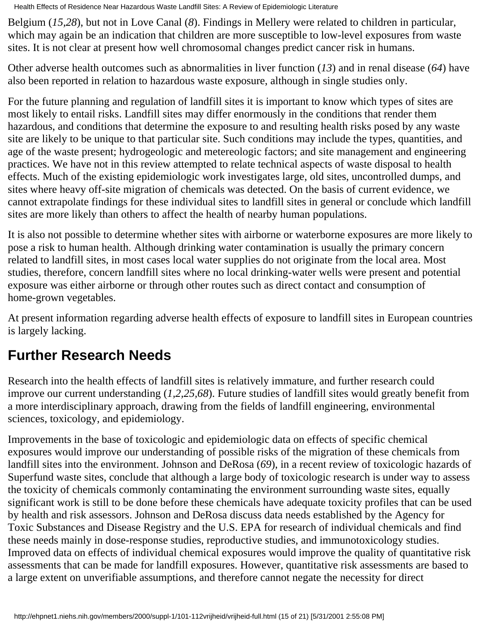Belgium (*15,28*), but not in Love Canal (*8*). Findings in Mellery were related to children in particular, which may again be an indication that children are more susceptible to low-level exposures from waste sites. It is not clear at present how well chromosomal changes predict cancer risk in humans.

Other adverse health outcomes such as abnormalities in liver function (*13*) and in renal disease (*64*) have also been reported in relation to hazardous waste exposure, although in single studies only.

For the future planning and regulation of landfill sites it is important to know which types of sites are most likely to entail risks. Landfill sites may differ enormously in the conditions that render them hazardous, and conditions that determine the exposure to and resulting health risks posed by any waste site are likely to be unique to that particular site. Such conditions may include the types, quantities, and age of the waste present; hydrogeologic and metereologic factors; and site management and engineering practices. We have not in this review attempted to relate technical aspects of waste disposal to health effects. Much of the existing epidemiologic work investigates large, old sites, uncontrolled dumps, and sites where heavy off-site migration of chemicals was detected. On the basis of current evidence, we cannot extrapolate findings for these individual sites to landfill sites in general or conclude which landfill sites are more likely than others to affect the health of nearby human populations.

It is also not possible to determine whether sites with airborne or waterborne exposures are more likely to pose a risk to human health. Although drinking water contamination is usually the primary concern related to landfill sites, in most cases local water supplies do not originate from the local area. Most studies, therefore, concern landfill sites where no local drinking-water wells were present and potential exposure was either airborne or through other routes such as direct contact and consumption of home-grown vegetables.

At present information regarding adverse health effects of exposure to landfill sites in European countries is largely lacking.

# <span id="page-14-0"></span>**Further Research Needs**

Research into the health effects of landfill sites is relatively immature, and further research could improve our current understanding (*1,2,25,68*). Future studies of landfill sites would greatly benefit from a more interdisciplinary approach, drawing from the fields of landfill engineering, environmental sciences, toxicology, and epidemiology.

Improvements in the base of toxicologic and epidemiologic data on effects of specific chemical exposures would improve our understanding of possible risks of the migration of these chemicals from landfill sites into the environment. Johnson and DeRosa (*69*), in a recent review of toxicologic hazards of Superfund waste sites, conclude that although a large body of toxicologic research is under way to assess the toxicity of chemicals commonly contaminating the environment surrounding waste sites, equally significant work is still to be done before these chemicals have adequate toxicity profiles that can be used by health and risk assessors. Johnson and DeRosa discuss data needs established by the Agency for Toxic Substances and Disease Registry and the U.S. EPA for research of individual chemicals and find these needs mainly in dose-response studies, reproductive studies, and immunotoxicology studies. Improved data on effects of individual chemical exposures would improve the quality of quantitative risk assessments that can be made for landfill exposures. However, quantitative risk assessments are based to a large extent on unverifiable assumptions, and therefore cannot negate the necessity for direct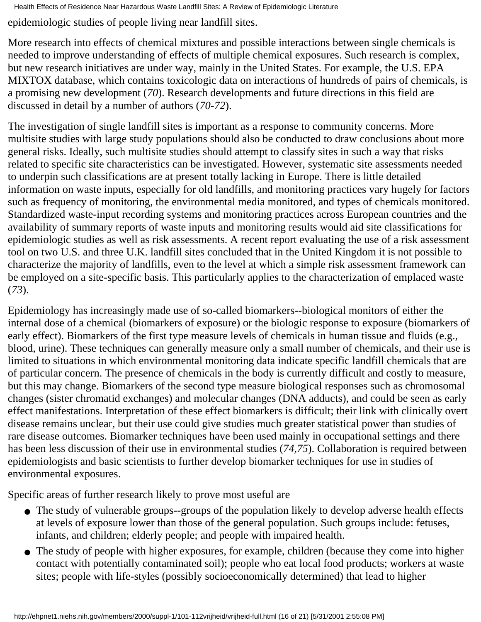epidemiologic studies of people living near landfill sites.

More research into effects of chemical mixtures and possible interactions between single chemicals is needed to improve understanding of effects of multiple chemical exposures. Such research is complex, but new research initiatives are under way, mainly in the United States. For example, the U.S. EPA MIXTOX database, which contains toxicologic data on interactions of hundreds of pairs of chemicals, is a promising new development (*70*). Research developments and future directions in this field are discussed in detail by a number of authors (*70-72*).

The investigation of single landfill sites is important as a response to community concerns. More multisite studies with large study populations should also be conducted to draw conclusions about more general risks. Ideally, such multisite studies should attempt to classify sites in such a way that risks related to specific site characteristics can be investigated. However, systematic site assessments needed to underpin such classifications are at present totally lacking in Europe. There is little detailed information on waste inputs, especially for old landfills, and monitoring practices vary hugely for factors such as frequency of monitoring, the environmental media monitored, and types of chemicals monitored. Standardized waste-input recording systems and monitoring practices across European countries and the availability of summary reports of waste inputs and monitoring results would aid site classifications for epidemiologic studies as well as risk assessments. A recent report evaluating the use of a risk assessment tool on two U.S. and three U.K. landfill sites concluded that in the United Kingdom it is not possible to characterize the majority of landfills, even to the level at which a simple risk assessment framework can be employed on a site-specific basis. This particularly applies to the characterization of emplaced waste (*73*).

Epidemiology has increasingly made use of so-called biomarkers--biological monitors of either the internal dose of a chemical (biomarkers of exposure) or the biologic response to exposure (biomarkers of early effect). Biomarkers of the first type measure levels of chemicals in human tissue and fluids (e.g., blood, urine). These techniques can generally measure only a small number of chemicals, and their use is limited to situations in which environmental monitoring data indicate specific landfill chemicals that are of particular concern. The presence of chemicals in the body is currently difficult and costly to measure, but this may change. Biomarkers of the second type measure biological responses such as chromosomal changes (sister chromatid exchanges) and molecular changes (DNA adducts), and could be seen as early effect manifestations. Interpretation of these effect biomarkers is difficult; their link with clinically overt disease remains unclear, but their use could give studies much greater statistical power than studies of rare disease outcomes. Biomarker techniques have been used mainly in occupational settings and there has been less discussion of their use in environmental studies (*74,75*). Collaboration is required between epidemiologists and basic scientists to further develop biomarker techniques for use in studies of environmental exposures.

Specific areas of further research likely to prove most useful are

- The study of vulnerable groups--groups of the population likely to develop adverse health effects at levels of exposure lower than those of the general population. Such groups include: fetuses, infants, and children; elderly people; and people with impaired health.
- The study of people with higher exposures, for example, children (because they come into higher contact with potentially contaminated soil); people who eat local food products; workers at waste sites; people with life-styles (possibly socioeconomically determined) that lead to higher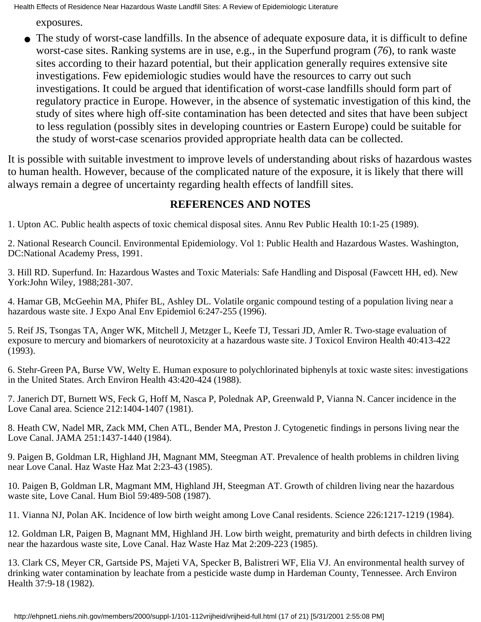exposures.

● The study of worst-case landfills. In the absence of adequate exposure data, it is difficult to define worst-case sites. Ranking systems are in use, e.g., in the Superfund program (*76*), to rank waste sites according to their hazard potential, but their application generally requires extensive site investigations. Few epidemiologic studies would have the resources to carry out such investigations. It could be argued that identification of worst-case landfills should form part of regulatory practice in Europe. However, in the absence of systematic investigation of this kind, the study of sites where high off-site contamination has been detected and sites that have been subject to less regulation (possibly sites in developing countries or Eastern Europe) could be suitable for the study of worst-case scenarios provided appropriate health data can be collected.

It is possible with suitable investment to improve levels of understanding about risks of hazardous wastes to human health. However, because of the complicated nature of the exposure, it is likely that there will always remain a degree of uncertainty regarding health effects of landfill sites.

### **REFERENCES AND NOTES**

1. Upton AC. Public health aspects of toxic chemical disposal sites. Annu Rev Public Health 10:1-25 (1989).

2. National Research Council. Environmental Epidemiology. Vol 1: Public Health and Hazardous Wastes. Washington, DC:National Academy Press, 1991.

3. Hill RD. Superfund. In: Hazardous Wastes and Toxic Materials: Safe Handling and Disposal (Fawcett HH, ed). New York:John Wiley, 1988;281-307.

4. Hamar GB, McGeehin MA, Phifer BL, Ashley DL. Volatile organic compound testing of a population living near a hazardous waste site. J Expo Anal Env Epidemiol 6:247-255 (1996).

5. Reif JS, Tsongas TA, Anger WK, Mitchell J, Metzger L, Keefe TJ, Tessari JD, Amler R. Two-stage evaluation of exposure to mercury and biomarkers of neurotoxicity at a hazardous waste site. J Toxicol Environ Health 40:413-422 (1993).

6. Stehr-Green PA, Burse VW, Welty E. Human exposure to polychlorinated biphenyls at toxic waste sites: investigations in the United States. Arch Environ Health 43:420-424 (1988).

7. Janerich DT, Burnett WS, Feck G, Hoff M, Nasca P, Polednak AP, Greenwald P, Vianna N. Cancer incidence in the Love Canal area. Science 212:1404-1407 (1981).

8. Heath CW, Nadel MR, Zack MM, Chen ATL, Bender MA, Preston J. Cytogenetic findings in persons living near the Love Canal. JAMA 251:1437-1440 (1984).

9. Paigen B, Goldman LR, Highland JH, Magnant MM, Steegman AT. Prevalence of health problems in children living near Love Canal. Haz Waste Haz Mat 2:23-43 (1985).

10. Paigen B, Goldman LR, Magmant MM, Highland JH, Steegman AT. Growth of children living near the hazardous waste site, Love Canal. Hum Biol 59:489-508 (1987).

11. Vianna NJ, Polan AK. Incidence of low birth weight among Love Canal residents. Science 226:1217-1219 (1984).

12. Goldman LR, Paigen B, Magnant MM, Highland JH. Low birth weight, prematurity and birth defects in children living near the hazardous waste site, Love Canal. Haz Waste Haz Mat 2:209-223 (1985).

13. Clark CS, Meyer CR, Gartside PS, Majeti VA, Specker B, Balistreri WF, Elia VJ. An environmental health survey of drinking water contamination by leachate from a pesticide waste dump in Hardeman County, Tennessee. Arch Environ Health 37:9-18 (1982).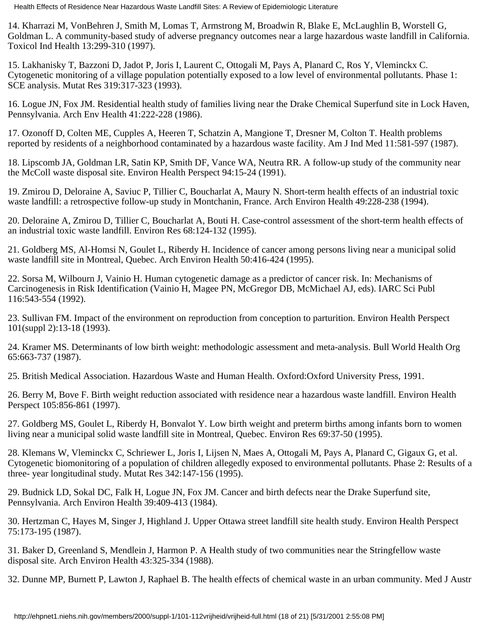14. Kharrazi M, VonBehren J, Smith M, Lomas T, Armstrong M, Broadwin R, Blake E, McLaughlin B, Worstell G, Goldman L. A community-based study of adverse pregnancy outcomes near a large hazardous waste landfill in California. Toxicol Ind Health 13:299-310 (1997).

15. Lakhanisky T, Bazzoni D, Jadot P, Joris I, Laurent C, Ottogali M, Pays A, Planard C, Ros Y, Vleminckx C. Cytogenetic monitoring of a village population potentially exposed to a low level of environmental pollutants. Phase 1: SCE analysis. Mutat Res 319:317-323 (1993).

16. Logue JN, Fox JM. Residential health study of families living near the Drake Chemical Superfund site in Lock Haven, Pennsylvania. Arch Env Health 41:222-228 (1986).

17. Ozonoff D, Colten ME, Cupples A, Heeren T, Schatzin A, Mangione T, Dresner M, Colton T. Health problems reported by residents of a neighborhood contaminated by a hazardous waste facility. Am J Ind Med 11:581-597 (1987).

18. Lipscomb JA, Goldman LR, Satin KP, Smith DF, Vance WA, Neutra RR. A follow-up study of the community near the McColl waste disposal site. Environ Health Perspect 94:15-24 (1991).

19. Zmirou D, Deloraine A, Saviuc P, Tillier C, Boucharlat A, Maury N. Short-term health effects of an industrial toxic waste landfill: a retrospective follow-up study in Montchanin, France. Arch Environ Health 49:228-238 (1994).

20. Deloraine A, Zmirou D, Tillier C, Boucharlat A, Bouti H. Case-control assessment of the short-term health effects of an industrial toxic waste landfill. Environ Res 68:124-132 (1995).

21. Goldberg MS, Al-Homsi N, Goulet L, Riberdy H. Incidence of cancer among persons living near a municipal solid waste landfill site in Montreal, Quebec. Arch Environ Health 50:416-424 (1995).

22. Sorsa M, Wilbourn J, Vainio H. Human cytogenetic damage as a predictor of cancer risk. In: Mechanisms of Carcinogenesis in Risk Identification (Vainio H, Magee PN, McGregor DB, McMichael AJ, eds). IARC Sci Publ 116:543-554 (1992).

23. Sullivan FM. Impact of the environment on reproduction from conception to parturition. Environ Health Perspect 101(suppl 2):13-18 (1993).

24. Kramer MS. Determinants of low birth weight: methodologic assessment and meta-analysis. Bull World Health Org 65:663-737 (1987).

25. British Medical Association. Hazardous Waste and Human Health. Oxford:Oxford University Press, 1991.

26. Berry M, Bove F. Birth weight reduction associated with residence near a hazardous waste landfill. Environ Health Perspect 105:856-861 (1997).

27. Goldberg MS, Goulet L, Riberdy H, Bonvalot Y. Low birth weight and preterm births among infants born to women living near a municipal solid waste landfill site in Montreal, Quebec. Environ Res 69:37-50 (1995).

28. Klemans W, Vleminckx C, Schriewer L, Joris I, Lijsen N, Maes A, Ottogali M, Pays A, Planard C, Gigaux G, et al. Cytogenetic biomonitoring of a population of children allegedly exposed to environmental pollutants. Phase 2: Results of a three- year longitudinal study. Mutat Res 342:147-156 (1995).

29. Budnick LD, Sokal DC, Falk H, Logue JN, Fox JM. Cancer and birth defects near the Drake Superfund site, Pennsylvania. Arch Environ Health 39:409-413 (1984).

30. Hertzman C, Hayes M, Singer J, Highland J. Upper Ottawa street landfill site health study. Environ Health Perspect 75:173-195 (1987).

31. Baker D, Greenland S, Mendlein J, Harmon P. A Health study of two communities near the Stringfellow waste disposal site. Arch Environ Health 43:325-334 (1988).

32. Dunne MP, Burnett P, Lawton J, Raphael B. The health effects of chemical waste in an urban community. Med J Austr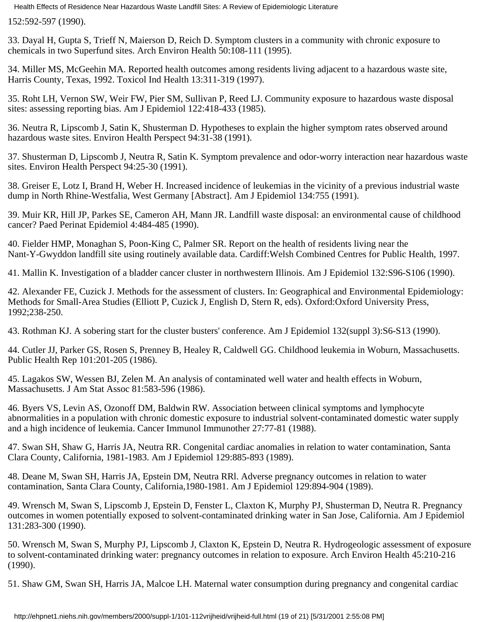152:592-597 (1990).

33. Dayal H, Gupta S, Trieff N, Maierson D, Reich D. Symptom clusters in a community with chronic exposure to chemicals in two Superfund sites. Arch Environ Health 50:108-111 (1995).

34. Miller MS, McGeehin MA. Reported health outcomes among residents living adjacent to a hazardous waste site, Harris County, Texas, 1992. Toxicol Ind Health 13:311-319 (1997).

35. Roht LH, Vernon SW, Weir FW, Pier SM, Sullivan P, Reed LJ. Community exposure to hazardous waste disposal sites: assessing reporting bias. Am J Epidemiol 122:418-433 (1985).

36. Neutra R, Lipscomb J, Satin K, Shusterman D. Hypotheses to explain the higher symptom rates observed around hazardous waste sites. Environ Health Perspect 94:31-38 (1991).

37. Shusterman D, Lipscomb J, Neutra R, Satin K. Symptom prevalence and odor-worry interaction near hazardous waste sites. Environ Health Perspect 94:25-30 (1991).

38. Greiser E, Lotz I, Brand H, Weber H. Increased incidence of leukemias in the vicinity of a previous industrial waste dump in North Rhine-Westfalia, West Germany [Abstract]. Am J Epidemiol 134:755 (1991).

39. Muir KR, Hill JP, Parkes SE, Cameron AH, Mann JR. Landfill waste disposal: an environmental cause of childhood cancer? Paed Perinat Epidemiol 4:484-485 (1990).

40. Fielder HMP, Monaghan S, Poon-King C, Palmer SR. Report on the health of residents living near the Nant-Y-Gwyddon landfill site using routinely available data. Cardiff:Welsh Combined Centres for Public Health, 1997.

41. Mallin K. Investigation of a bladder cancer cluster in northwestern Illinois. Am J Epidemiol 132:S96-S106 (1990).

42. Alexander FE, Cuzick J. Methods for the assessment of clusters. In: Geographical and Environmental Epidemiology: Methods for Small-Area Studies (Elliott P, Cuzick J, English D, Stern R, eds). Oxford:Oxford University Press, 1992;238-250.

43. Rothman KJ. A sobering start for the cluster busters' conference. Am J Epidemiol 132(suppl 3):S6-S13 (1990).

44. Cutler JJ, Parker GS, Rosen S, Prenney B, Healey R, Caldwell GG. Childhood leukemia in Woburn, Massachusetts. Public Health Rep 101:201-205 (1986).

45. Lagakos SW, Wessen BJ, Zelen M. An analysis of contaminated well water and health effects in Woburn, Massachusetts. J Am Stat Assoc 81:583-596 (1986).

46. Byers VS, Levin AS, Ozonoff DM, Baldwin RW. Association between clinical symptoms and lymphocyte abnormalities in a population with chronic domestic exposure to industrial solvent-contaminated domestic water supply and a high incidence of leukemia. Cancer Immunol Immunother 27:77-81 (1988).

47. Swan SH, Shaw G, Harris JA, Neutra RR. Congenital cardiac anomalies in relation to water contamination, Santa Clara County, California, 1981-1983. Am J Epidemiol 129:885-893 (1989).

48. Deane M, Swan SH, Harris JA, Epstein DM, Neutra RRl. Adverse pregnancy outcomes in relation to water contamination, Santa Clara County, California,1980-1981. Am J Epidemiol 129:894-904 (1989).

49. Wrensch M, Swan S, Lipscomb J, Epstein D, Fenster L, Claxton K, Murphy PJ, Shusterman D, Neutra R. Pregnancy outcomes in women potentially exposed to solvent-contaminated drinking water in San Jose, California. Am J Epidemiol 131:283-300 (1990).

50. Wrensch M, Swan S, Murphy PJ, Lipscomb J, Claxton K, Epstein D, Neutra R. Hydrogeologic assessment of exposure to solvent-contaminated drinking water: pregnancy outcomes in relation to exposure. Arch Environ Health 45:210-216 (1990).

51. Shaw GM, Swan SH, Harris JA, Malcoe LH. Maternal water consumption during pregnancy and congenital cardiac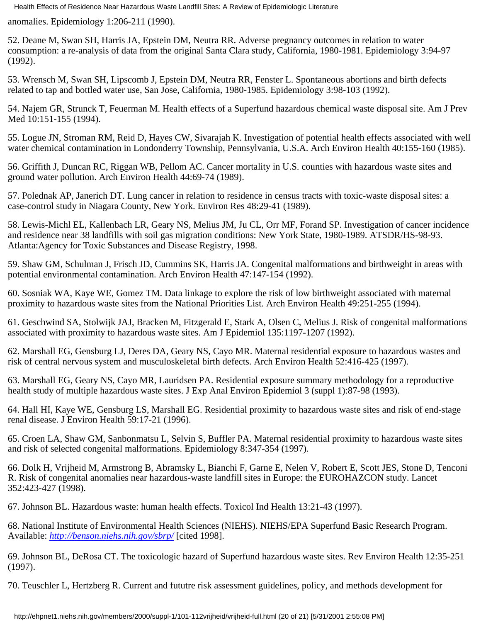anomalies. Epidemiology 1:206-211 (1990).

52. Deane M, Swan SH, Harris JA, Epstein DM, Neutra RR. Adverse pregnancy outcomes in relation to water consumption: a re-analysis of data from the original Santa Clara study, California, 1980-1981. Epidemiology 3:94-97 (1992).

53. Wrensch M, Swan SH, Lipscomb J, Epstein DM, Neutra RR, Fenster L. Spontaneous abortions and birth defects related to tap and bottled water use, San Jose, California, 1980-1985. Epidemiology 3:98-103 (1992).

54. Najem GR, Strunck T, Feuerman M. Health effects of a Superfund hazardous chemical waste disposal site. Am J Prev Med 10:151-155 (1994).

55. Logue JN, Stroman RM, Reid D, Hayes CW, Sivarajah K. Investigation of potential health effects associated with well water chemical contamination in Londonderry Township, Pennsylvania, U.S.A. Arch Environ Health 40:155-160 (1985).

56. Griffith J, Duncan RC, Riggan WB, Pellom AC. Cancer mortality in U.S. counties with hazardous waste sites and ground water pollution. Arch Environ Health 44:69-74 (1989).

57. Polednak AP, Janerich DT. Lung cancer in relation to residence in census tracts with toxic-waste disposal sites: a case-control study in Niagara County, New York. Environ Res 48:29-41 (1989).

58. Lewis-Michl EL, Kallenbach LR, Geary NS, Melius JM, Ju CL, Orr MF, Forand SP. Investigation of cancer incidence and residence near 38 landfills with soil gas migration conditions: New York State, 1980-1989. ATSDR/HS-98-93. Atlanta:Agency for Toxic Substances and Disease Registry, 1998.

59. Shaw GM, Schulman J, Frisch JD, Cummins SK, Harris JA. Congenital malformations and birthweight in areas with potential environmental contamination. Arch Environ Health 47:147-154 (1992).

60. Sosniak WA, Kaye WE, Gomez TM. Data linkage to explore the risk of low birthweight associated with maternal proximity to hazardous waste sites from the National Priorities List. Arch Environ Health 49:251-255 (1994).

61. Geschwind SA, Stolwijk JAJ, Bracken M, Fitzgerald E, Stark A, Olsen C, Melius J. Risk of congenital malformations associated with proximity to hazardous waste sites. Am J Epidemiol 135:1197-1207 (1992).

62. Marshall EG, Gensburg LJ, Deres DA, Geary NS, Cayo MR. Maternal residential exposure to hazardous wastes and risk of central nervous system and musculoskeletal birth defects. Arch Environ Health 52:416-425 (1997).

63. Marshall EG, Geary NS, Cayo MR, Lauridsen PA. Residential exposure summary methodology for a reproductive health study of multiple hazardous waste sites. J Exp Anal Environ Epidemiol 3 (suppl 1):87-98 (1993).

64. Hall HI, Kaye WE, Gensburg LS, Marshall EG. Residential proximity to hazardous waste sites and risk of end-stage renal disease. J Environ Health 59:17-21 (1996).

65. Croen LA, Shaw GM, Sanbonmatsu L, Selvin S, Buffler PA. Maternal residential proximity to hazardous waste sites and risk of selected congenital malformations. Epidemiology 8:347-354 (1997).

66. Dolk H, Vrijheid M, Armstrong B, Abramsky L, Bianchi F, Garne E, Nelen V, Robert E, Scott JES, Stone D, Tenconi R. Risk of congenital anomalies near hazardous-waste landfill sites in Europe: the EUROHAZCON study. Lancet 352:423-427 (1998).

67. Johnson BL. Hazardous waste: human health effects. Toxicol Ind Health 13:21-43 (1997).

68. National Institute of Environmental Health Sciences (NIEHS). NIEHS/EPA Superfund Basic Research Program. Available: *<http://benson.niehs.nih.gov/sbrp/>* [cited 1998].

69. Johnson BL, DeRosa CT. The toxicologic hazard of Superfund hazardous waste sites. Rev Environ Health 12:35-251 (1997).

70. Teuschler L, Hertzberg R. Current and fututre risk assessment guidelines, policy, and methods development for